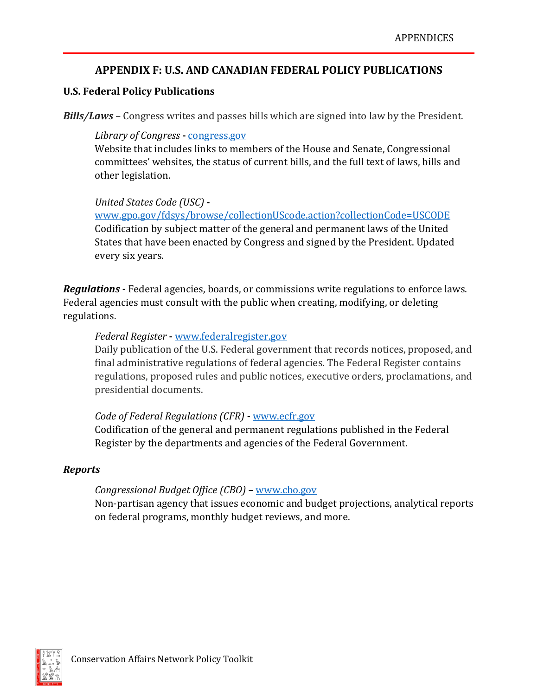# **APPENDIX F: U.S. AND CANADIAN FEDERAL POLICY PUBLICATIONS**

# **U.S. Federal Policy Publications**

*Bills/Laws* – Congress writes and passes bills which are signed into law by the President.

*Library of Congress* **-** congress.gov

Website that includes links to members of the House and Senate, Congressional committees' websites, the status of current bills, and the full text of laws, bills and other legislation.

# *United States Code (USC)* **-**

[www.gpo.gov/fdsys/browse/collectionUScode.action?collectionCode=USCODE](http://www.gpo.gov/fdsys/browse/collectionUScode.action?collectionCode=USCODE) Codification by subject matter of the general and permanent laws of the United States that have been enacted by Congress and signed by the President. Updated every six years.

*Regulations* **-** Federal agencies, boards, or commissions write regulations to enforce laws. Federal agencies must consult with the public when creating, modifying, or deleting regulations.

# *Federal Register* **-** [www.federalregister.gov](http://www.federalregister.gov/)

Daily publication of the U.S. Federal government that records notices, proposed, and final administrative regulations of federal agencies. The Federal Register contains regulations, proposed rules and public notices, executive orders, proclamations, and presidential documents.

# *Code of Federal Regulations (CFR)* **-** [www.ecfr.gov](http://www.ecfr.gov/)

Codification of the general and permanent regulations published in the Federal Register by the departments and agencies of the Federal Government.

# *Reports*

# *Congressional Budget Office (CBO)* **–** [www.cbo.gov](http://www.cbo.gov/)

Non-partisan agency that issues economic and budget projections, analytical reports on federal programs, monthly budget reviews, and more.